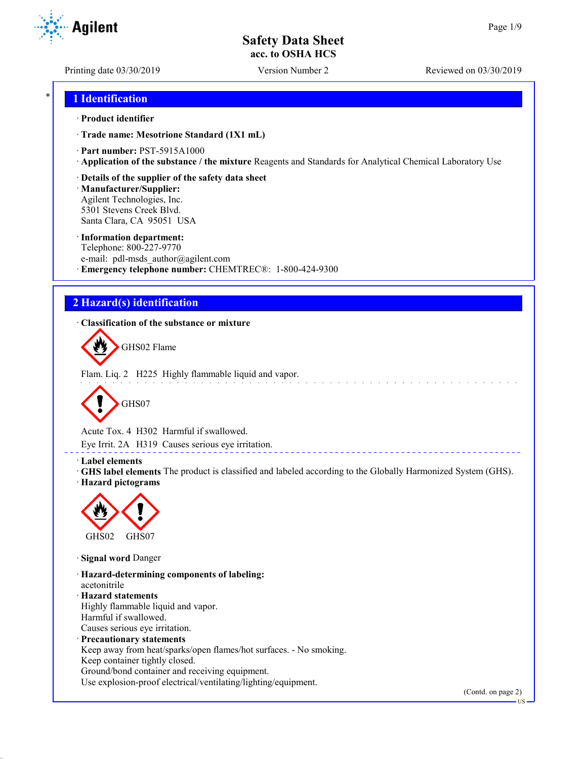Printing date 03/30/2019 Version Number 2 Reviewed on 03/30/2019

**Agilent** 

## \* **1 Identification**

### · **Product identifier**

· **Trade name: Mesotrione Standard (1X1 mL)**

· **Part number:** PST-5915A1000

· **Application of the substance / the mixture** Reagents and Standards for Analytical Chemical Laboratory Use

· **Details of the supplier of the safety data sheet**

· **Manufacturer/Supplier:** Agilent Technologies, Inc. 5301 Stevens Creek Blvd. Santa Clara, CA 95051 USA

### · **Information department:**

Telephone: 800-227-9770 e-mail: pdl-msds author@agilent.com · **Emergency telephone number:** CHEMTREC®: 1-800-424-9300

# **2 Hazard(s) identification**

· **Classification of the substance or mixture**



Flam. Liq. 2 H225 Highly flammable liquid and vapor.



Acute Tox. 4 H302 Harmful if swallowed.

Eye Irrit. 2A H319 Causes serious eye irritation.

### · **Label elements**

· **GHS label elements** The product is classified and labeled according to the Globally Harmonized System (GHS). · **Hazard pictograms**

\_\_\_\_\_\_\_\_\_\_\_\_\_\_\_\_\_\_\_\_\_\_



· **Signal word** Danger

· **Hazard-determining components of labeling:** acetonitrile · **Hazard statements** Highly flammable liquid and vapor. Harmful if swallowed. Causes serious eye irritation. · **Precautionary statements** Keep away from heat/sparks/open flames/hot surfaces. - No smoking. Keep container tightly closed. Ground/bond container and receiving equipment.

Use explosion-proof electrical/ventilating/lighting/equipment.

(Contd. on page 2)

US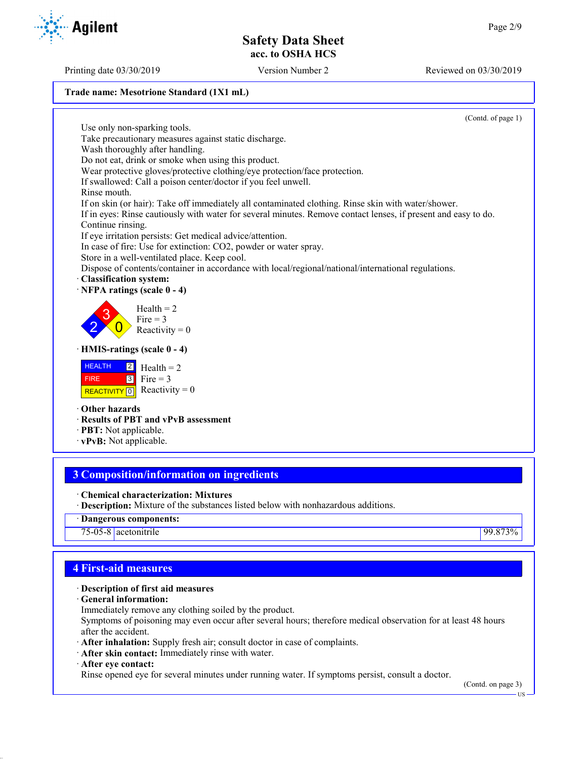### **Trade name: Mesotrione Standard (1X1 mL)**

(Contd. of page 1)

Use only non-sparking tools. Take precautionary measures against static discharge. Wash thoroughly after handling. Do not eat, drink or smoke when using this product. Wear protective gloves/protective clothing/eye protection/face protection. If swallowed: Call a poison center/doctor if you feel unwell. Rinse mouth. If on skin (or hair): Take off immediately all contaminated clothing. Rinse skin with water/shower. If in eyes: Rinse cautiously with water for several minutes. Remove contact lenses, if present and easy to do. Continue rinsing. If eye irritation persists: Get medical advice/attention. In case of fire: Use for extinction: CO2, powder or water spray. Store in a well-ventilated place. Keep cool. Dispose of contents/container in accordance with local/regional/national/international regulations. · **Classification system:** · **NFPA ratings (scale 0 - 4)** 2 3  $\overline{0}$  $Health = 2$ Fire  $= 3$ Reactivity  $= 0$ · **HMIS-ratings (scale 0 - 4) HEALTH**  FIRE REACTIVITY  $\boxed{0}$  Reactivity = 0 2 3  $Health = 2$ Fire  $= 3$ · **Other hazards** · **Results of PBT and vPvB assessment** · **PBT:** Not applicable.

· **vPvB:** Not applicable.

# **3 Composition/information on ingredients**

- · **Chemical characterization: Mixtures**
- · **Description:** Mixture of the substances listed below with nonhazardous additions.
- · **Dangerous components:**

75-05-8 acetonitrile 99.873%

## **4 First-aid measures**

## · **Description of first aid measures**

- · **General information:**
- Immediately remove any clothing soiled by the product.

Symptoms of poisoning may even occur after several hours; therefore medical observation for at least 48 hours after the accident.

- · **After inhalation:** Supply fresh air; consult doctor in case of complaints.
- · **After skin contact:** Immediately rinse with water.
- · **After eye contact:**

Rinse opened eye for several minutes under running water. If symptoms persist, consult a doctor.

(Contd. on page 3) US

Printing date 03/30/2019 Version Number 2 Reviewed on 03/30/2019



**Agilent**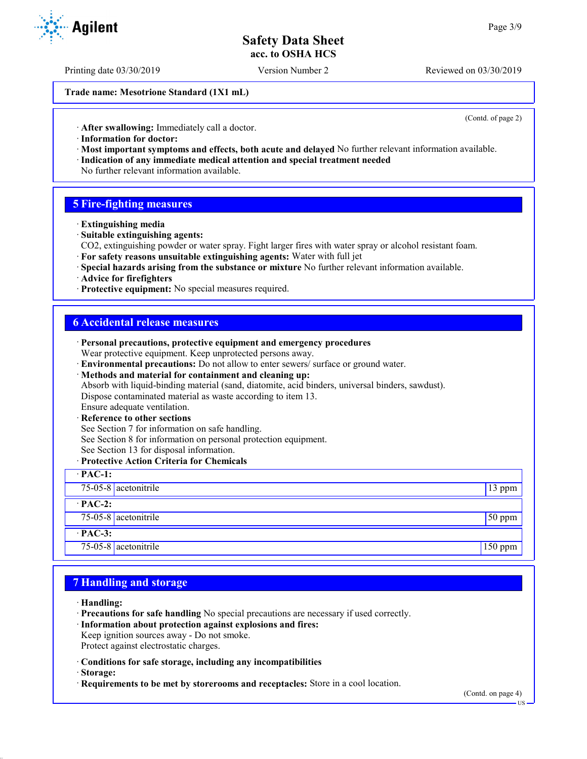Printing date 03/30/2019 Version Number 2 Reviewed on 03/30/2019

**Trade name: Mesotrione Standard (1X1 mL)**

(Contd. of page 2)

· **After swallowing:** Immediately call a doctor.

- · **Information for doctor:**
- · **Most important symptoms and effects, both acute and delayed** No further relevant information available. · **Indication of any immediate medical attention and special treatment needed**
- No further relevant information available.

## **5 Fire-fighting measures**

- · **Extinguishing media**
- · **Suitable extinguishing agents:**
- CO2, extinguishing powder or water spray. Fight larger fires with water spray or alcohol resistant foam.
- · **For safety reasons unsuitable extinguishing agents:** Water with full jet
- · **Special hazards arising from the substance or mixture** No further relevant information available.
- · **Advice for firefighters**
- · **Protective equipment:** No special measures required.

## **6 Accidental release measures**

| · Personal precautions, protective equipment and emergency procedures                            |                 |
|--------------------------------------------------------------------------------------------------|-----------------|
| Wear protective equipment. Keep unprotected persons away.                                        |                 |
| · Environmental precautions: Do not allow to enter sewers/ surface or ground water.              |                 |
| · Methods and material for containment and cleaning up:                                          |                 |
| Absorb with liquid-binding material (sand, diatomite, acid binders, universal binders, sawdust). |                 |
| Dispose contaminated material as waste according to item 13.                                     |                 |
| Ensure adequate ventilation.                                                                     |                 |
| · Reference to other sections                                                                    |                 |
| See Section 7 for information on safe handling.                                                  |                 |
| See Section 8 for information on personal protection equipment.                                  |                 |
| See Section 13 for disposal information.                                                         |                 |
| · Protective Action Criteria for Chemicals                                                       |                 |
| $\cdot$ PAC-1:                                                                                   |                 |
| $75-05-8$ acetonitrile                                                                           | 13 ppm          |
| $\cdot$ PAC-2:                                                                                   |                 |
| 75-05-8 acetonitrile                                                                             | $\sqrt{50}$ ppm |
| $·$ PAC-3:                                                                                       |                 |
| 75-05-8 $ $ acetonitrile                                                                         | $150$ ppm       |

## **7 Handling and storage**

- · **Handling:**
- · **Precautions for safe handling** No special precautions are necessary if used correctly.
- · **Information about protection against explosions and fires:**
- Keep ignition sources away Do not smoke.
- Protect against electrostatic charges.
- · **Conditions for safe storage, including any incompatibilities**
- · **Storage:**
- · **Requirements to be met by storerooms and receptacles:** Store in a cool location.



US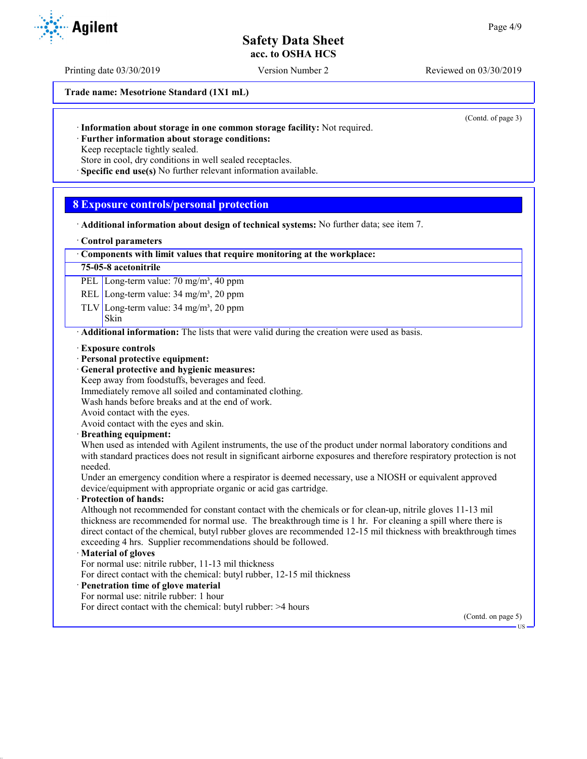Printing date 03/30/2019 Version Number 2 Reviewed on 03/30/2019

**Trade name: Mesotrione Standard (1X1 mL)**

(Contd. of page 3)

· **Further information about storage conditions:** Keep receptacle tightly sealed.

Store in cool, dry conditions in well sealed receptacles.

· **Specific end use(s)** No further relevant information available.

## **8 Exposure controls/personal protection**

· **Additional information about design of technical systems:** No further data; see item 7.

#### · **Control parameters**

### · **Components with limit values that require monitoring at the workplace:**

### **75-05-8 acetonitrile**

PEL Long-term value: 70 mg/m<sup>3</sup>, 40 ppm

REL Long-term value: 34 mg/m<sup>3</sup>, 20 ppm

TLV Long-term value:  $34 \text{ mg/m}^3$ ,  $20 \text{ ppm}$ 

#### Skin

· **Additional information:** The lists that were valid during the creation were used as basis.

- · **Exposure controls**
- · **Personal protective equipment:**
- · **General protective and hygienic measures:**
- Keep away from foodstuffs, beverages and feed.

Immediately remove all soiled and contaminated clothing.

Wash hands before breaks and at the end of work.

Avoid contact with the eyes.

Avoid contact with the eyes and skin.

### · **Breathing equipment:**

When used as intended with Agilent instruments, the use of the product under normal laboratory conditions and with standard practices does not result in significant airborne exposures and therefore respiratory protection is not needed.

Under an emergency condition where a respirator is deemed necessary, use a NIOSH or equivalent approved device/equipment with appropriate organic or acid gas cartridge.

### · **Protection of hands:**

Although not recommended for constant contact with the chemicals or for clean-up, nitrile gloves 11-13 mil thickness are recommended for normal use. The breakthrough time is 1 hr. For cleaning a spill where there is direct contact of the chemical, butyl rubber gloves are recommended 12-15 mil thickness with breakthrough times exceeding 4 hrs. Supplier recommendations should be followed.

### · **Material of gloves**

For normal use: nitrile rubber, 11-13 mil thickness

For direct contact with the chemical: butyl rubber, 12-15 mil thickness

## · **Penetration time of glove material**

For normal use: nitrile rubber: 1 hour

For direct contact with the chemical: butyl rubber: >4 hours

(Contd. on page 5)

US

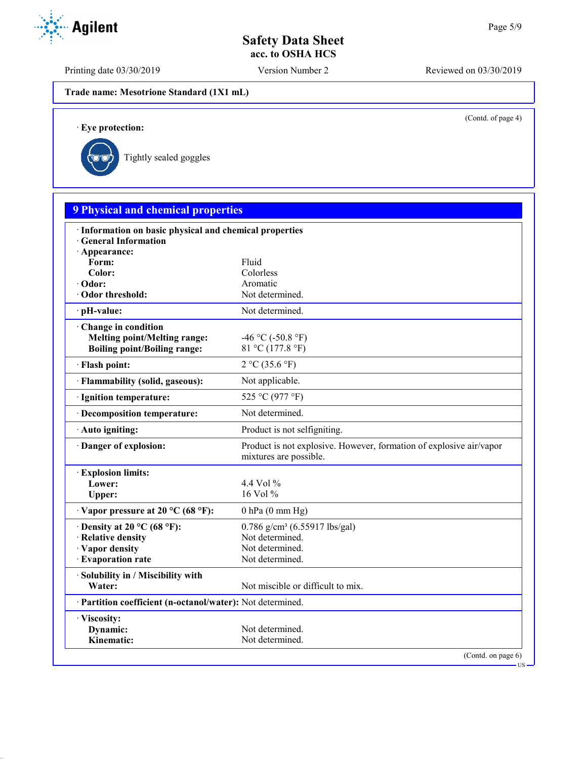Printing date 03/30/2019 Version Number 2 Reviewed on 03/30/2019

**Trade name: Mesotrione Standard (1X1 mL)**

(Contd. of page 4)

US

· **Eye protection:**



| <b>9 Physical and chemical properties</b>                                             |                                                                                               |
|---------------------------------------------------------------------------------------|-----------------------------------------------------------------------------------------------|
| · Information on basic physical and chemical properties<br><b>General Information</b> |                                                                                               |
| · Appearance:                                                                         |                                                                                               |
| Form:                                                                                 | Fluid                                                                                         |
| Color:<br>· Odor:                                                                     | Colorless<br>Aromatic                                                                         |
| Odor threshold:                                                                       | Not determined.                                                                               |
| · pH-value:                                                                           | Not determined.                                                                               |
|                                                                                       |                                                                                               |
| Change in condition<br><b>Melting point/Melting range:</b>                            | -46 °C (-50.8 °F)                                                                             |
| <b>Boiling point/Boiling range:</b>                                                   | 81 °C (177.8 °F)                                                                              |
|                                                                                       |                                                                                               |
| · Flash point:                                                                        | 2 °C (35.6 °F)                                                                                |
| · Flammability (solid, gaseous):                                                      | Not applicable.                                                                               |
| · Ignition temperature:                                                               | 525 °C (977 °F)                                                                               |
| · Decomposition temperature:                                                          | Not determined.                                                                               |
| · Auto igniting:                                                                      | Product is not selfigniting.                                                                  |
| Danger of explosion:                                                                  | Product is not explosive. However, formation of explosive air/vapor<br>mixtures are possible. |
| <b>Explosion limits:</b>                                                              |                                                                                               |
| Lower:                                                                                | 4.4 Vol $\%$                                                                                  |
| Upper:                                                                                | 16 Vol %                                                                                      |
| $\cdot$ Vapor pressure at 20 °C (68 °F):                                              | $0$ hPa $(0$ mm Hg)                                                                           |
| $\cdot$ Density at 20 °C (68 °F):                                                     | $0.786$ g/cm <sup>3</sup> (6.55917 lbs/gal)                                                   |
| · Relative density                                                                    | Not determined.                                                                               |
| · Vapor density                                                                       | Not determined.                                                                               |
| · Evaporation rate                                                                    | Not determined.                                                                               |
| · Solubility in / Miscibility with                                                    |                                                                                               |
| Water:                                                                                | Not miscible or difficult to mix.                                                             |
| · Partition coefficient (n-octanol/water): Not determined.                            |                                                                                               |
| · Viscosity:                                                                          |                                                                                               |
| Dynamic:                                                                              | Not determined.                                                                               |
| Kinematic:                                                                            | Not determined.                                                                               |

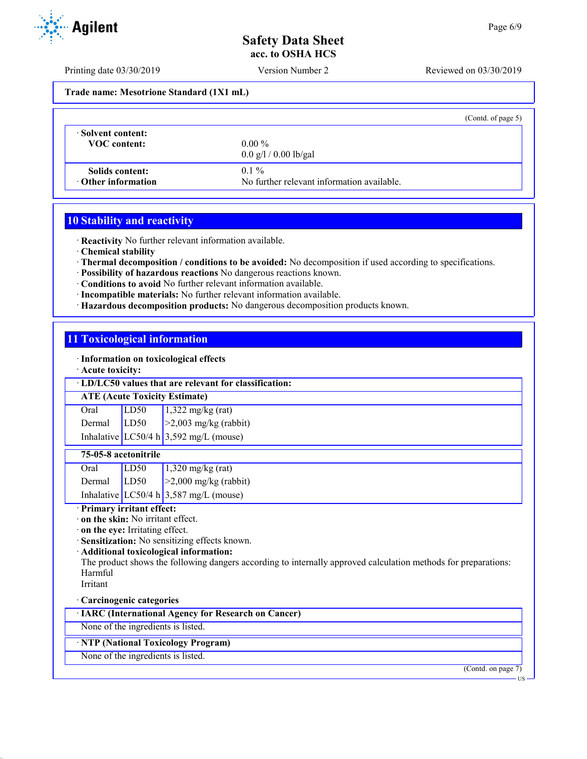Printing date 03/30/2019 Version Number 2 Reviewed on 03/30/2019

**Trade name: Mesotrione Standard (1X1 mL)**

|                                              |                                                       | (Contd. of page $5$ ) |
|----------------------------------------------|-------------------------------------------------------|-----------------------|
| Solvent content:<br><b>VOC</b> content:      | $0.00\%$<br>$0.0 \frac{g}{1} / 0.00 \frac{g}{g}$ al   |                       |
| Solids content:<br>$\cdot$ Other information | $0.1\%$<br>No further relevant information available. |                       |

## **10 Stability and reactivity**

· **Reactivity** No further relevant information available.

- · **Chemical stability**
- · **Thermal decomposition / conditions to be avoided:** No decomposition if used according to specifications.
- · **Possibility of hazardous reactions** No dangerous reactions known.
- · **Conditions to avoid** No further relevant information available.
- · **Incompatible materials:** No further relevant information available.
- · **Hazardous decomposition products:** No dangerous decomposition products known.

# **11 Toxicological information**

· **Information on toxicological effects**

· **Acute toxicity:**

### · **LD/LC50 values that are relevant for classification:**

### **ATE (Acute Toxicity Estimate)**

| Oral          | LD50 | $\sqrt{1,322 \text{ mg/kg}}$ (rat)     |
|---------------|------|----------------------------------------|
| Dermal $LD50$ |      | $\geq$ 2,003 mg/kg (rabbit)            |
|               |      | Inhalative LC50/4 h 3,592 mg/L (mouse) |

## **75-05-8 acetonitrile**

| Oral   | LD50 | $1,320$ mg/kg (rat)                    |
|--------|------|----------------------------------------|
| Dermal | LD50 | $\vert$ >2,000 mg/kg (rabbit)          |
|        |      | Inhalative LC50/4 h 3,587 mg/L (mouse) |

## · **Primary irritant effect:**

· **on the skin:** No irritant effect.

- · **on the eye:** Irritating effect.
- · **Sensitization:** No sensitizing effects known.

## · **Additional toxicological information:**

The product shows the following dangers according to internally approved calculation methods for preparations: Harmful

Irritant

## · **Carcinogenic categories**

· **IARC (International Agency for Research on Cancer)**

None of the ingredients is listed.

# · **NTP (National Toxicology Program)**

None of the ingredients is listed.

(Contd. on page 7)



US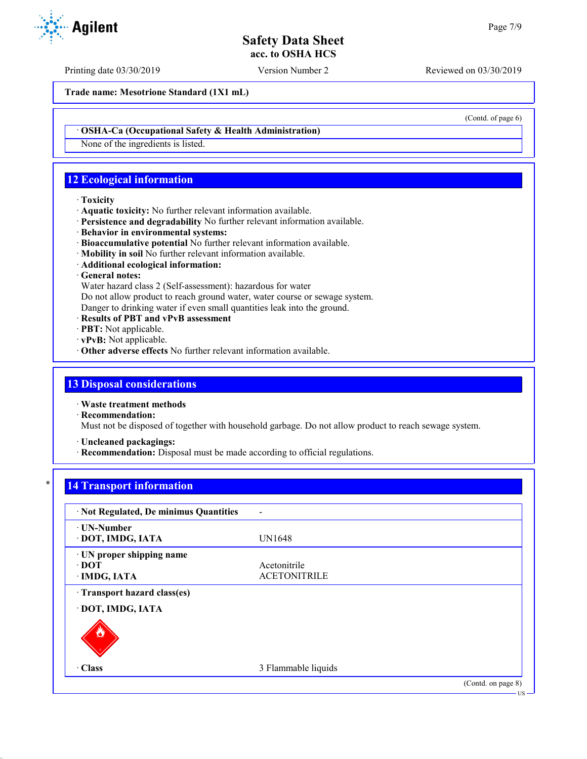Printing date 03/30/2019 Version Number 2 Reviewed on 03/30/2019

**Trade name: Mesotrione Standard (1X1 mL)**

(Contd. of page 6)

### · **OSHA-Ca (Occupational Safety & Health Administration)**

None of the ingredients is listed.

# **12 Ecological information**

#### · **Toxicity**

- · **Aquatic toxicity:** No further relevant information available.
- · **Persistence and degradability** No further relevant information available.
- · **Behavior in environmental systems:**
- · **Bioaccumulative potential** No further relevant information available.
- · **Mobility in soil** No further relevant information available.
- · **Additional ecological information:**

## · **General notes:**

Water hazard class 2 (Self-assessment): hazardous for water

Do not allow product to reach ground water, water course or sewage system.

Danger to drinking water if even small quantities leak into the ground.

- · **Results of PBT and vPvB assessment**
- · **PBT:** Not applicable.
- · **vPvB:** Not applicable.
- · **Other adverse effects** No further relevant information available.

## **13 Disposal considerations**

· **Waste treatment methods**

· **Recommendation:**

Must not be disposed of together with household garbage. Do not allow product to reach sewage system.

· **Uncleaned packagings:**

· **Recommendation:** Disposal must be made according to official regulations.

## **14 Transport information**

| · Not Regulated, De minimus Quantities                   |                                     |                    |
|----------------------------------------------------------|-------------------------------------|--------------------|
| · UN-Number<br>· DOT, IMDG, IATA                         | <b>UN1648</b>                       |                    |
| · UN proper shipping name<br>$\cdot$ DOT<br>· IMDG, IATA | Acetonitrile<br><b>ACETONITRILE</b> |                    |
| Transport hazard class(es)<br>· DOT, IMDG, IATA          |                                     |                    |
|                                                          |                                     |                    |
| $\cdot$ Class                                            | 3 Flammable liquids                 |                    |
|                                                          |                                     | (Contd. on page 8) |

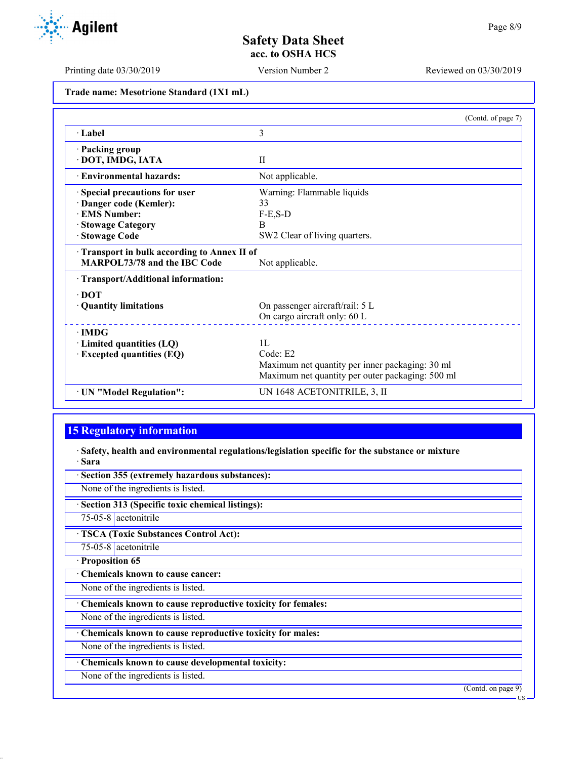Printing date 03/30/2019 Version Number 2 Reviewed on 03/30/2019

**Trade name: Mesotrione Standard (1X1 mL)**

|                                            | (Contd. of page 7)                               |
|--------------------------------------------|--------------------------------------------------|
| · Label                                    | 3                                                |
| · Packing group                            |                                                  |
| · DOT, IMDG, IATA                          | $\mathbf{H}$                                     |
| · Environmental hazards:                   | Not applicable.                                  |
| Special precautions for user               | Warning: Flammable liquids                       |
| Danger code (Kemler):                      | 33                                               |
| <b>EMS</b> Number:                         | $F-E$ , $S-D$                                    |
| · Stowage Category                         | B                                                |
| · Stowage Code                             | SW2 Clear of living quarters.                    |
| Transport in bulk according to Annex II of |                                                  |
| MARPOL73/78 and the IBC Code               | Not applicable.                                  |
| · Transport/Additional information:        |                                                  |
| $\cdot$ DOT                                |                                                  |
| · Quantity limitations                     | On passenger aircraft/rail: 5 L                  |
|                                            | On cargo aircraft only: 60 L                     |
| $\cdot$ IMDG                               |                                                  |
| $\cdot$ Limited quantities (LQ)            | 1L                                               |
| · Excepted quantities (EQ)                 | Code: E2                                         |
|                                            | Maximum net quantity per inner packaging: 30 ml  |
|                                            | Maximum net quantity per outer packaging: 500 ml |
| · UN "Model Regulation":                   | UN 1648 ACETONITRILE, 3, II                      |

# **15 Regulatory information**

· **Safety, health and environmental regulations/legislation specific for the substance or mixture** · **Sara**

| · Section 355 (extremely hazardous substances):             |
|-------------------------------------------------------------|
| None of the ingredients is listed.                          |
| · Section 313 (Specific toxic chemical listings):           |
| $75-05-8$ acetonitrile                                      |
| <b>TSCA (Toxic Substances Control Act):</b>                 |
| $75-05-8$ acetonitrile                                      |
| · Proposition 65                                            |
| Chemicals known to cause cancer:                            |
| None of the ingredients is listed.                          |
| Chemicals known to cause reproductive toxicity for females: |
| None of the ingredients is listed.                          |
| Chemicals known to cause reproductive toxicity for males:   |
| None of the ingredients is listed.                          |
| · Chemicals known to cause developmental toxicity:          |
| None of the ingredients is listed.                          |
| (Contd. on page 9)                                          |
| ·US                                                         |